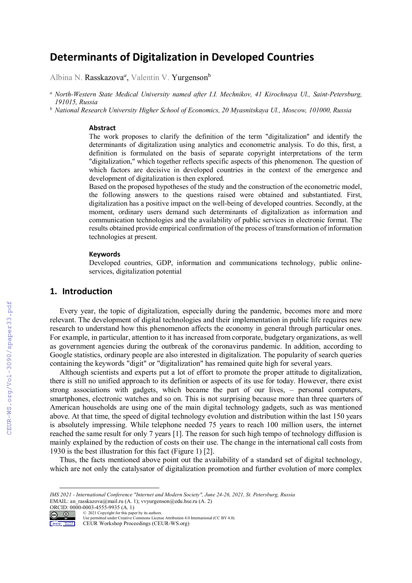# **Determinants of Digitalization in Developed Countries**

Albina N. Rasskazova<sup>a</sup>, Valentin V. Yurgenson<sup>b</sup>

*<sup>a</sup> North-Western State Medical University named after I.I. Mechnikov, 41 Kirochnaya Ul., Saint-Petersburg, 191015, Russia* 

*<sup>b</sup> National Research University Higher School of Economics, 20 Myasnitskaya Ul., Moscow, 101000, Russia* 

#### **Abstract**

The work proposes to clarify the definition of the term "digitalization" and identify the determinants of digitalization using analytics and econometric analysis. To do this, first, a definition is formulated on the basis of separate copyright interpretations of the term "digitalization," which together reflects specific aspects of this phenomenon. The question of which factors are decisive in developed countries in the context of the emergence and development of digitalization is then explored.

Based on the proposed hypotheses of the study and the construction of the econometric model, the following answers to the questions raised were obtained and substantiated. First, digitalization has a positive impact on the well-being of developed countries. Secondly, at the moment, ordinary users demand such determinants of digitalization as information and communication technologies and the availability of public services in electronic format. The results obtained provide empirical confirmation of the process of transformation of information technologies at present.

## **Keywords**

Developed countries, GDP, information and communications technology, public onlineservices, digitalization potential

# **1. Introduction**

Every year, the topic of digitalization, especially during the pandemic, becomes more and more relevant. The development of digital technologies and their implementation in public life requires new research to understand how this phenomenon affects the economy in general through particular ones. For example, in particular, attention to it has increased from corporate, budgetary organizations, as well as government agencies during the outbreak of the coronavirus pandemic. In addition, according to Google statistics, ordinary people are also interested in digitalization. The popularity of search queries containing the keywords "digit" or "digitalization" has remained quite high for several years.

Although scientists and experts put a lot of effort to promote the proper attitude to digitalization, there is still no unified approach to its definition or aspects of its use for today. However, there exist strong associations with gadgets, which became the part of our lives, – personal computers, smartphones, electronic watches and so on. This is not surprising because more than three quarters of American households are using one of the main digital technology gadgets, such as was mentioned above. At that time, the speed of digital technology evolution and distribution within the last 150 years is absolutely impressing. While telephone needed 75 years to reach 100 million users, the internet reached the same result for only 7 years [1]. The reason for such high tempo of technology diffusion is mainly explained by the reduction of costs on their use. The change in the international call costs from 1930 is the best illustration for this fact (Figure 1) [2].

Thus, the facts mentioned above point out the availability of a standard set of digital technology, which are not only the catalysator of digitalization promotion and further evolution of more complex

ORCID:  $0000003-4555-9935$  (A. 1)<br>  $\bigcirc$   $\bigcirc$   $\bigcirc$   $2021$  Copyright for this pape © 2021 Copyright for this paper by its authors.

CEUR Workshop Proceedings (CEUR-WS.org)

*IMS 2021 - International Conference "Internet and Modern Society", June 24-26, 2021, St. Petersburg, Russia*  EMAIL: an\_rasskazova@mail.ru (A. 1); vvyurgenson@edu.hse.ru (A. 2)

Use permitted under Creative Commons License Attribution 4.0 International (CC BY 4.0).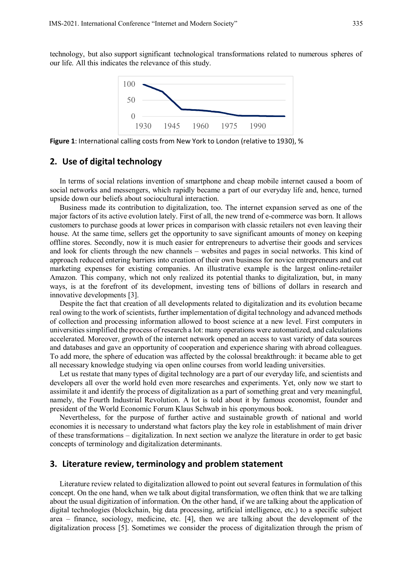technology, but also support significant technological transformations related to numerous spheres of our life. All this indicates the relevance of this study.



**Figure 1**: International calling costs from New York to London (relative to 1930), %

## **2. Use of digital technology**

In terms of social relations invention of smartphone and cheap mobile internet caused a boom of social networks and messengers, which rapidly became a part of our everyday life and, hence, turned upside down our beliefs about sociocultural interaction.

Business made its contribution to digitalization, too. The internet expansion served as one of the major factors of its active evolution lately. First of all, the new trend of e-commerce was born. It allows customers to purchase goods at lower prices in comparison with classic retailers not even leaving their house. At the same time, sellers get the opportunity to save significant amounts of money on keeping offline stores. Secondly, now it is much easier for entrepreneurs to advertise their goods and services and look for clients through the new channels – websites and pages in social networks. This kind of approach reduced entering barriers into creation of their own business for novice entrepreneurs and cut marketing expenses for existing companies. An illustrative example is the largest online-retailer Amazon. This company, which not only realized its potential thanks to digitalization, but, in many ways, is at the forefront of its development, investing tens of billions of dollars in research and innovative developments [3].

Despite the fact that creation of all developments related to digitalization and its evolution became real owing to the work of scientists, further implementation of digital technology and advanced methods of collection and processing information allowed to boost science at a new level. First computers in universities simplified the process of research a lot: many operations were automatized, and calculations accelerated. Moreover, growth of the internet network opened an access to vast variety of data sources and databases and gave an opportunity of cooperation and experience sharing with abroad colleagues. To add more, the sphere of education was affected by the colossal breakthrough: it became able to get all necessary knowledge studying via open online courses from world leading universities.

Let us restate that many types of digital technology are a part of our everyday life, and scientists and developers all over the world hold even more researches and experiments. Yet, only now we start to assimilate it and identify the process of digitalization as a part of something great and very meaningful, namely, the Fourth Industrial Revolution. A lot is told about it by famous economist, founder and president of the World Economic Forum Klaus Schwab in his eponymous book.

Nevertheless, for the purpose of further active and sustainable growth of national and world economies it is necessary to understand what factors play the key role in establishment of main driver of these transformations – digitalization. In next section we analyze the literature in order to get basic concepts of terminology and digitalization determinants.

## **3. Literature review, terminology and problem statement**

Literature review related to digitalization allowed to point out several features in formulation of this concept. On the one hand, when we talk about digital transformation, we often think that we are talking about the usual digitization of information. On the other hand, if we are talking about the application of digital technologies (blockchain, big data processing, artificial intelligence, etc.) to a specific subject area – finance, sociology, medicine, etc. [4], then we are talking about the development of the digitalization process [5]. Sometimes we consider the process of digitalization through the prism of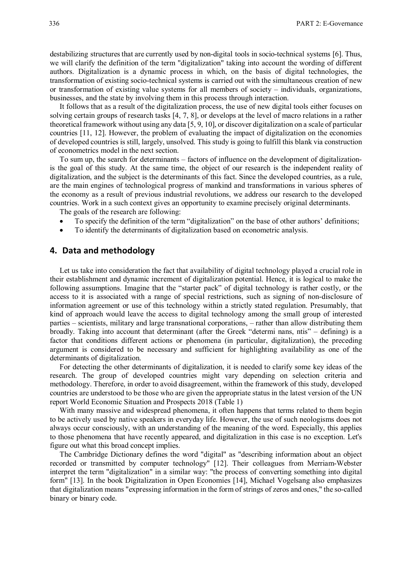destabilizing structures that are currently used by non-digital tools in socio-technical systems [6]. Thus, we will clarify the definition of the term "digitalization" taking into account the wording of different authors. Digitalization is a dynamic process in which, on the basis of digital technologies, the transformation of existing socio-technical systems is carried out with the simultaneous creation of new or transformation of existing value systems for all members of society – individuals, organizations, businesses, and the state by involving them in this process through interaction.

It follows that as a result of the digitalization process, the use of new digital tools either focuses on solving certain groups of research tasks [4, 7, 8], or develops at the level of macro relations in a rather theoretical framework without using any data [5, 9, 10], or discover digitalization on a scale of particular countries [11, 12]. However, the problem of evaluating the impact of digitalization on the economies of developed countries is still, largely, unsolved. This study is going to fulfill this blank via construction of econometrics model in the next section.

To sum up, the search for determinants – factors of influence on the development of digitalizationis the goal of this study. At the same time, the object of our research is the independent reality of digitalization, and the subject is the determinants of this fact. Since the developed countries, as a rule, are the main engines of technological progress of mankind and transformations in various spheres of the economy as a result of previous industrial revolutions, we address our research to the developed countries. Work in a such context gives an opportunity to examine precisely original determinants.

The goals of the research are following:

- To specify the definition of the term "digitalization" on the base of other authors' definitions;
- To identify the determinants of digitalization based on econometric analysis.

## **4. Data and methodology**

Let us take into consideration the fact that availability of digital technology played a crucial role in their establishment and dynamic increment of digitalization potential. Hence, it is logical to make the following assumptions. Imagine that the "starter pack" of digital technology is rather costly, or the access to it is associated with a range of special restrictions, such as signing of non-disclosure of information agreement or use of this technology within a strictly stated regulation. Presumably, that kind of approach would leave the access to digital technology among the small group of interested parties – scientists, military and large transnational corporations, – rather than allow distributing them broadly. Taking into account that determinant (after the Greek "determi nans, ntis" – defining) is a factor that conditions different actions or phenomena (in particular, digitalization), the preceding argument is considered to be necessary and sufficient for highlighting availability as one of the determinants of digitalization.

For detecting the other determinants of digitalization, it is needed to clarify some key ideas of the research. The group of developed countries might vary depending on selection criteria and methodology. Therefore, in order to avoid disagreement, within the framework of this study, developed countries are understood to be those who are given the appropriate status in the latest version of the UN report World Economic Situation and Prospects 2018 (Table 1)

With many massive and widespread phenomena, it often happens that terms related to them begin to be actively used by native speakers in everyday life. However, the use of such neologisms does not always occur consciously, with an understanding of the meaning of the word. Especially, this applies to those phenomena that have recently appeared, and digitalization in this case is no exception. Let's figure out what this broad concept implies.

The Cambridge Dictionary defines the word "digital" as "describing information about an object recorded or transmitted by computer technology" [12]. Their colleagues from Merriam-Webster interpret the term "digitalization" in a similar way: "the process of converting something into digital form" [13]. In the book Digitalization in Open Economies [14], Michael Vogelsang also emphasizes that digitalization means "expressing information in the form of strings of zeros and ones," the so-called binary or binary code.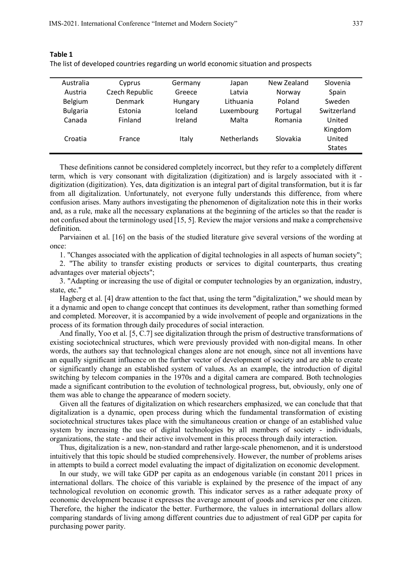| Australia       | Cyprus         | Germany | Japan              | New Zealand | Slovenia      |
|-----------------|----------------|---------|--------------------|-------------|---------------|
| Austria         | Czech Republic | Greece  | Latvia             | Norway      | Spain         |
| Belgium         | Denmark        | Hungary | Lithuania          | Poland      | Sweden        |
| <b>Bulgaria</b> | Estonia        | Iceland | Luxembourg         | Portugal    | Switzerland   |
| Canada          | Finland        | Ireland | Malta              | Romania     | United        |
|                 |                |         |                    |             | Kingdom       |
| Croatia         | France         | Italy   | <b>Netherlands</b> | Slovakia    | United        |
|                 |                |         |                    |             | <b>States</b> |
|                 |                |         |                    |             |               |

## **Table 1**

The list of developed countries regarding un world economic situation and prospects

These definitions cannot be considered completely incorrect, but they refer to a completely different term, which is very consonant with digitalization (digitization) and is largely associated with it digitization (digitization). Yes, data digitization is an integral part of digital transformation, but it is far from all digitalization. Unfortunately, not everyone fully understands this difference, from where confusion arises. Many authors investigating the phenomenon of digitalization note this in their works and, as a rule, make all the necessary explanations at the beginning of the articles so that the reader is not confused about the terminology used [15, 5]. Review the major versions and make a comprehensive definition.

Parviainen et al. [16] on the basis of the studied literature give several versions of the wording at once:

1. "Changes associated with the application of digital technologies in all aspects of human society";

2. "The ability to transfer existing products or services to digital counterparts, thus creating advantages over material objects";

3. "Adapting or increasing the use of digital or computer technologies by an organization, industry, state, etc."

Hagberg et al. [4] draw attention to the fact that, using the term "digitalization," we should mean by it a dynamic and open to change concept that continues its development, rather than something formed and completed. Moreover, it is accompanied by a wide involvement of people and organizations in the process of its formation through daily procedures of social interaction.

And finally, Yoo et al. [5, C.7] see digitalization through the prism of destructive transformations of existing sociotechnical structures, which were previously provided with non-digital means. In other words, the authors say that technological changes alone are not enough, since not all inventions have an equally significant influence on the further vector of development of society and are able to create or significantly change an established system of values. As an example, the introduction of digital switching by telecom companies in the 1970s and a digital camera are compared. Both technologies made a significant contribution to the evolution of technological progress, but, obviously, only one of them was able to change the appearance of modern society.

Given all the features of digitalization on which researchers emphasized, we can conclude that that digitalization is a dynamic, open process during which the fundamental transformation of existing sociotechnical structures takes place with the simultaneous creation or change of an established value system by increasing the use of digital technologies by all members of society - individuals, organizations, the state - and their active involvement in this process through daily interaction.

Thus, digitalization is a new, non-standard and rather large-scale phenomenon, and it is understood intuitively that this topic should be studied comprehensively. However, the number of problems arises in attempts to build a correct model evaluating the impact of digitalization on economic development.

In our study, we will take GDP per capita as an endogenous variable (in constant 2011 prices in international dollars. The choice of this variable is explained by the presence of the impact of any technological revolution on economic growth. This indicator serves as a rather adequate proxy of economic development because it expresses the average amount of goods and services per one citizen. Therefore, the higher the indicator the better. Furthermore, the values in international dollars allow comparing standards of living among different countries due to adjustment of real GDP per capita for purchasing power parity.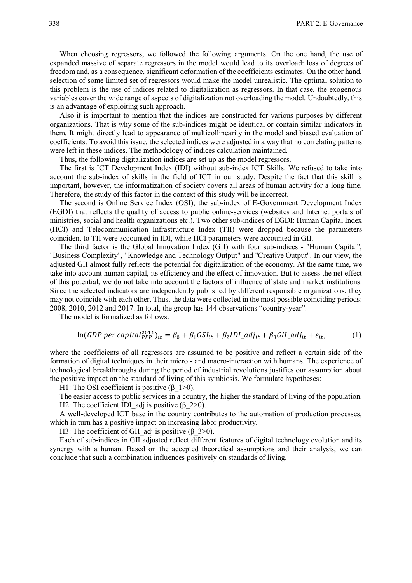When choosing regressors, we followed the following arguments. On the one hand, the use of expanded massive of separate regressors in the model would lead to its overload: loss of degrees of freedom and, as a consequence, significant deformation of the coefficients estimates. On the other hand, selection of some limited set of regressors would make the model unrealistic. The optimal solution to this problem is the use of indices related to digitalization as regressors. In that case, the exogenous variables cover the wide range of aspects of digitalization not overloading the model. Undoubtedly, this is an advantage of exploiting such approach.

Also it is important to mention that the indices are constructed for various purposes by different organizations. That is why some of the sub-indices might be identical or contain similar indicators in them. It might directly lead to appearance of multicollinearity in the model and biased evaluation of coefficients. To avoid this issue, the selected indices were adjusted in a way that no correlating patterns were left in these indices. The methodology of indices calculation maintained.

Thus, the following digitalization indices are set up as the model regressors.

The first is ICT Development Index (IDI) without sub-index ICT Skills. We refused to take into account the sub-index of skills in the field of ICT in our study. Despite the fact that this skill is important, however, the informatization of society covers all areas of human activity for a long time. Therefore, the study of this factor in the context of this study will be incorrect.

The second is Online Service Index (OSI), the sub-index of E-Government Development Index (EGDI) that reflects the quality of access to public online-services (websites and Internet portals of ministries, social and health organizations etc.). Two other sub-indices of EGDI: Human Capital Index (HCI) and Telecommunication Infrastructure Index (TII) were dropped because the parameters coincident to TII were accounted in IDI, while HCI parameters were accounted in GII.

The third factor is the Global Innovation Index (GII) with four sub-indices - "Human Capital", "Business Complexity", "Knowledge and Technology Output" and "Creative Output". In our view, the adjusted GII almost fully reflects the potential for digitalization of the economy. At the same time, we take into account human capital, its efficiency and the effect of innovation. But to assess the net effect of this potential, we do not take into account the factors of influence of state and market institutions. Since the selected indicators are independently published by different responsible organizations, they may not coincide with each other. Thus, the data were collected in the most possible coinciding periods: 2008, 2010, 2012 and 2017. In total, the group has 144 observations "country-year".

The model is formalized as follows:

$$
\ln(GDP\ per\ capital_{PPP}^{2011})_{it} = \beta_0 + \beta_1 OSI_{it} + \beta_2 IDI\_adj_{it} + \beta_3 GI\_adj_{it} + \varepsilon_{it},\tag{1}
$$

where the coefficients of all regressors are assumed to be positive and reflect a certain side of the formation of digital techniques in their micro - and macro-interaction with humans. The experience of technological breakthroughs during the period of industrial revolutions justifies our assumption about the positive impact on the standard of living of this symbiosis. We formulate hypotheses:

H1: The OSI coefficient is positive  $(\beta \ 1>0)$ .

The easier access to public services in a country, the higher the standard of living of the population. H2: The coefficient IDI adj is positive ( $\beta$  2>0).

A well-developed ICT base in the country contributes to the automation of production processes, which in turn has a positive impact on increasing labor productivity.

H3: The coefficient of GII adj is positive ( $\beta$  3>0).

Each of sub-indices in GII adjusted reflect different features of digital technology evolution and its synergy with a human. Based on the accepted theoretical assumptions and their analysis, we can conclude that such a combination influences positively on standards of living.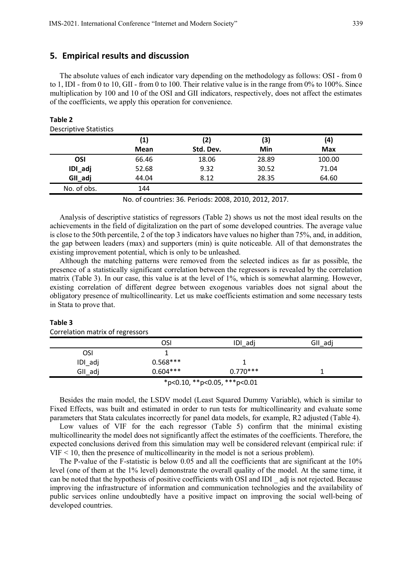## **5. Empirical results and discussion**

The absolute values of each indicator vary depending on the methodology as follows: OSI - from 0 to 1, IDI - from 0 to 10, GII - from 0 to 100. Their relative value is in the range from 0% to 100%. Since multiplication by 100 and 10 of the OSI and GII indicators, respectively, does not affect the estimates of the coefficients, we apply this operation for convenience.

|             | (1)         | (2)       | (3)   | (4)        |
|-------------|-------------|-----------|-------|------------|
|             | <b>Mean</b> | Std. Dev. | Min   | <b>Max</b> |
| OSI         | 66.46       | 18.06     | 28.89 | 100.00     |
| IDI_adj     | 52.68       | 9.32      | 30.52 | 71.04      |
| GII_adj     | 44.04       | 8.12      | 28.35 | 64.60      |
| No. of obs. | 144         |           |       |            |

#### **Table 2**  Descriptive Statistics

No. of countries: 36. Periods: 2008, 2010, 2012, 2017.

Analysis of descriptive statistics of regressors (Table 2) shows us not the most ideal results on the achievements in the field of digitalization on the part of some developed countries. The average value is close to the 50th percentile, 2 of the top 3 indicators have values no higher than 75%, and, in addition, the gap between leaders (max) and supporters (min) is quite noticeable. All of that demonstrates the existing improvement potential, which is only to be unleashed.

Although the matching patterns were removed from the selected indices as far as possible, the presence of a statistically significant correlation between the regressors is revealed by the correlation matrix (Table 3). In our case, this value is at the level of 1%, which is somewhat alarming. However, existing correlation of different degree between exogenous variables does not signal about the obligatory presence of multicollinearity. Let us make coefficients estimation and some necessary tests in Stata to prove that.

## **Table 3**

| ັ                            |            |            |         |  |
|------------------------------|------------|------------|---------|--|
|                              | OSI        | IDI_adj    | GII_adj |  |
| OSI                          |            |            |         |  |
| IDI_adj                      | $0.568***$ |            |         |  |
| GII_adj                      | $0.604***$ | $0.770***$ |         |  |
| *p<0.10, **p<0.05, ***p<0.01 |            |            |         |  |

Correlation matrix of regressors

Besides the main model, the LSDV model (Least Squared Dummy Variable), which is similar to Fixed Effects, was built and estimated in order to run tests for multicollinearity and evaluate some parameters that Stata calculates incorrectly for panel data models, for example, R2 adjusted (Table 4).

Low values of VIF for the each regressor (Table 5) confirm that the minimal existing multicollinearity the model does not significantly affect the estimates of the coefficients. Therefore, the expected conclusions derived from this simulation may well be considered relevant (empirical rule: if VIF < 10, then the presence of multicollinearity in the model is not a serious problem).

The P-value of the F-statistic is below 0.05 and all the coefficients that are significant at the 10% level (one of them at the 1% level) demonstrate the overall quality of the model. At the same time, it can be noted that the hypothesis of positive coefficients with OSI and IDI \_ adj is not rejected. Because improving the infrastructure of information and communication technologies and the availability of public services online undoubtedly have a positive impact on improving the social well-being of developed countries.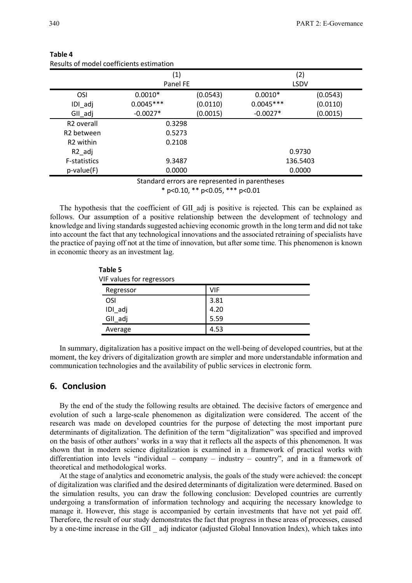| $\left( 1\right)$ |          |                                                            | (2)         |
|-------------------|----------|------------------------------------------------------------|-------------|
|                   |          |                                                            | <b>LSDV</b> |
| $0.0010*$         | (0.0543) | $0.0010*$                                                  | (0.0543)    |
| $0.0045***$       | (0.0110) | $0.0045***$                                                | (0.0110)    |
| $-0.0027*$        | (0.0015) | $-0.0027*$                                                 | (0.0015)    |
|                   |          |                                                            |             |
|                   |          |                                                            |             |
|                   |          |                                                            |             |
|                   |          |                                                            | 0.9730      |
|                   |          |                                                            | 136.5403    |
|                   |          |                                                            | 0.0000      |
|                   |          | Panel FE<br>0.3298<br>0.5273<br>0.2108<br>9.3487<br>0.0000 |             |

## **Table 4**  Results of model coefficients estimation

**Table 5** 

\* p<0.10, \*\* p<0.05, \*\*\* p<0.01

The hypothesis that the coefficient of GII adj is positive is rejected. This can be explained as follows. Our assumption of a positive relationship between the development of technology and knowledge and living standards suggested achieving economic growth in the long term and did not take into account the fact that any technological innovations and the associated retraining of specialists have the practice of paying off not at the time of innovation, but after some time. This phenomenon is known in economic theory as an investment lag.

| Table 5                   |            |  |  |  |
|---------------------------|------------|--|--|--|
| VIF values for regressors |            |  |  |  |
| Regressor                 | <b>VIF</b> |  |  |  |
| <b>OSI</b>                | 3.81       |  |  |  |
| IDI_adj                   | 4.20       |  |  |  |
| GII_adj                   | 5.59       |  |  |  |
| Average                   | 4.53       |  |  |  |

In summary, digitalization has a positive impact on the well-being of developed countries, but at the moment, the key drivers of digitalization growth are simpler and more understandable information and communication technologies and the availability of public services in electronic form.

## **6. Conclusion**

By the end of the study the following results are obtained. The decisive factors of emergence and evolution of such a large-scale phenomenon as digitalization were considered. The accent of the research was made on developed countries for the purpose of detecting the most important pure determinants of digitalization. The definition of the term "digitalization" was specified and improved on the basis of other authors' works in a way that it reflects all the aspects of this phenomenon. It was shown that in modern science digitalization is examined in a framework of practical works with differentiation into levels "individual – company – industry – country", and in a framework of theoretical and methodological works.

At the stage of analytics and econometric analysis, the goals of the study were achieved: the concept of digitalization was clarified and the desired determinants of digitalization were determined. Based on the simulation results, you can draw the following conclusion: Developed countries are currently undergoing a transformation of information technology and acquiring the necessary knowledge to manage it. However, this stage is accompanied by certain investments that have not yet paid off. Therefore, the result of our study demonstrates the fact that progress in these areas of processes, caused by a one-time increase in the GII \_ adj indicator (adjusted Global Innovation Index), which takes into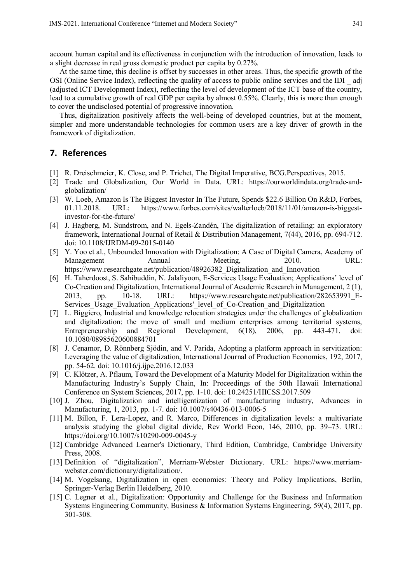account human capital and its effectiveness in conjunction with the introduction of innovation, leads to a slight decrease in real gross domestic product per capita by 0.27%.

At the same time, this decline is offset by successes in other areas. Thus, the specific growth of the OSI (Online Service Index), reflecting the quality of access to public online services and the IDI \_ adj (adjusted ICT Development Index), reflecting the level of development of the ICT base of the country, lead to a cumulative growth of real GDP per capita by almost 0.55%. Clearly, this is more than enough to cover the undisclosed potential of progressive innovation.

Thus, digitalization positively affects the well-being of developed countries, but at the moment, simpler and more understandable technologies for common users are a key driver of growth in the framework of digitalization.

# **7. References**

- [1] R. Dreischmeier, K. Close, and P. Trichet, The Digital Imperative, BCG.Perspectives, 2015.
- [2] Trade and Globalization, Our World in Data. URL: https://ourworldindata.org/trade-andglobalization/
- [3] W. Loeb, Amazon Is The Biggest Investor In The Future, Spends \$22.6 Billion On R&D, Forbes, 01.11.2018. URL: https://www.forbes.com/sites/walterloeb/2018/11/01/amazon-is-biggestinvestor-for-the-future/
- [4] J. Hagberg, M. Sundstrom, and N. Egels-Zandén, The digitalization of retailing: an exploratory framework, International Journal of Retail & Distribution Management, 7(44), 2016, pp. 694-712. doi: 10.1108/IJRDM-09-2015-0140
- [5] Y. Yoo et al., Unbounded Innovation with Digitalization: A Case of Digital Camera, Academy of Management Annual Meeting, 2010. URL: https://www.researchgate.net/publication/48926382\_Digitalization\_and\_Innovation
- [6] H. Taherdoost, S. Sahibuddin, N. Jalaliyoon, E-Services Usage Evaluation; Applications' level of Co-Creation and Digitalization, International Journal of Academic Research in Management, 2 (1), 2013, pp. 10-18. URL: https://www.researchgate.net/publication/282653991\_E-Services Usage Evaluation Applications' level of Co-Creation and Digitalization
- [7] L. Biggiero, Industrial and knowledge relocation strategies under the challenges of globalization and digitalization: the move of small and medium enterprises among territorial systems, Entrepreneurship and Regional Development, 6(18), 2006, pp. 443-471. doi: 10.1080/08985620600884701
- [8] J. Cenamor, D. Rönnberg Sjödin, and V. Parida, Adopting a platform approach in servitization: Leveraging the value of digitalization, International Journal of Production Economics, 192, 2017, pp. 54-62. doi: 10.1016/j.ijpe.2016.12.033
- [9] C. Klötzer, A. Pflaum, Toward the Development of a Maturity Model for Digitalization within the Manufacturing Industry's Supply Chain, In: Proceedings of the 50th Hawaii International Conference on System Sciences, 2017, pp. 1-10. doi: 10.24251/HICSS.2017.509
- [10] J. Zhou, Digitalization and intelligentization of manufacturing industry, Advances in Manufacturing, 1, 2013, pp. 1-7. doi: 10.1007/s40436-013-0006-5
- [11] M. Billon, F. Lera-Lopez, and R. Marco, Differences in digitalization levels: a multivariate analysis studying the global digital divide, Rev World Econ, 146, 2010, pp. 39–73. URL: https://doi.org/10.1007/s10290-009-0045-y
- [12] Cambridge Advanced Learner's Dictionary, Third Edition, Cambridge, Cambridge University Press, 2008.
- [13] Definition of "digitalization", Merriam-Webster Dictionary. URL: https://www.merriamwebster.com/dictionary/digitalization/.
- [14] M. Vogelsang, Digitalization in open economies: Theory and Policy Implications, Berlin, Springer-Verlag Berlin Heidelberg, 2010.
- [15] C. Legner et al., Digitalization: Opportunity and Challenge for the Business and Information Systems Engineering Community, Business & Information Systems Engineering, 59(4), 2017, pp. 301-308.